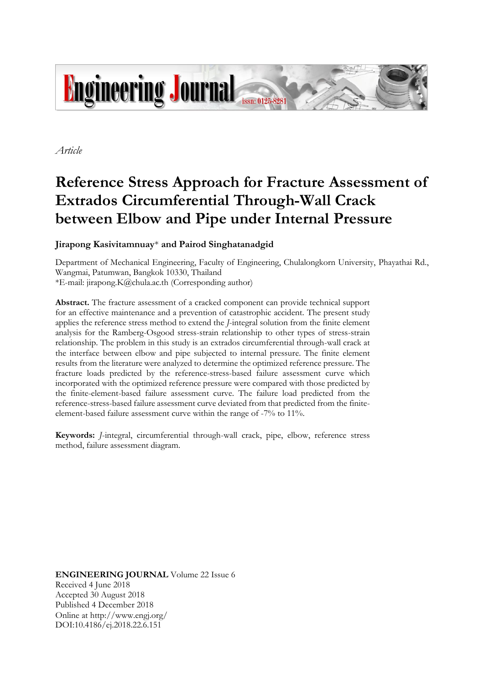

*Article*

# **Reference Stress Approach for Fracture Assessment of Extrados Circumferential Through-Wall Crack between Elbow and Pipe under Internal Pressure**

### **Jirapong Kasivitamnuay**\* **and Pairod Singhatanadgid**

Department of Mechanical Engineering, Faculty of Engineering, Chulalongkorn University, Phayathai Rd., Wangmai, Patumwan, Bangkok 10330, Thailand \*E-mail: jirapong.K@chula.ac.th (Corresponding author)

**Abstract.** The fracture assessment of a cracked component can provide technical support for an effective maintenance and a prevention of catastrophic accident. The present study applies the reference stress method to extend the *J*-integral solution from the finite element analysis for the Ramberg-Osgood stress-strain relationship to other types of stress-strain relationship. The problem in this study is an extrados circumferential through-wall crack at the interface between elbow and pipe subjected to internal pressure. The finite element results from the literature were analyzed to determine the optimized reference pressure. The fracture loads predicted by the reference-stress-based failure assessment curve which incorporated with the optimized reference pressure were compared with those predicted by the finite-element-based failure assessment curve. The failure load predicted from the reference-stress-based failure assessment curve deviated from that predicted from the finiteelement-based failure assessment curve within the range of -7% to 11%.

**Keywords:** *J*-integral, circumferential through-wall crack, pipe, elbow, reference stress method, failure assessment diagram.

**ENGINEERING JOURNAL** Volume 22 Issue 6 Received 4 June 2018 Accepted 30 August 2018 Published 4 December 2018 Online at http://www.engj.org/ DOI:10.4186/ej.2018.22.6.151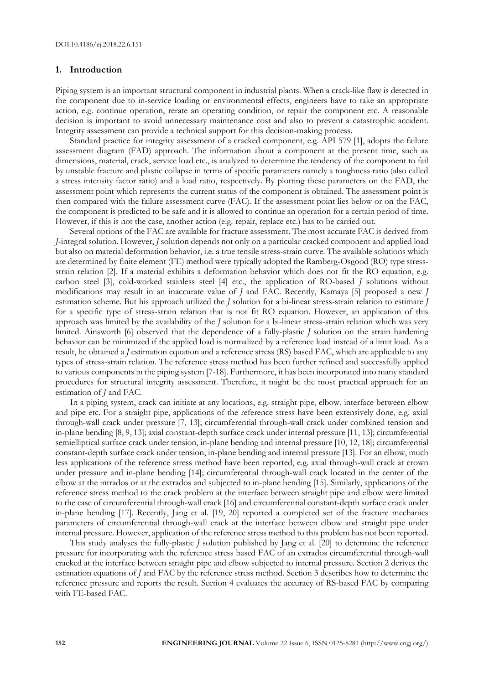#### **1. Introduction**

Piping system is an important structural component in industrial plants. When a crack-like flaw is detected in the component due to in-service loading or environmental effects, engineers have to take an appropriate action, e.g. continue operation, rerate an operating condition, or repair the component etc. A reasonable decision is important to avoid unnecessary maintenance cost and also to prevent a catastrophic accident. Integrity assessment can provide a technical support for this decision-making process.

Standard practice for integrity assessment of a cracked component, e.g. API 579 [1], adopts the failure assessment diagram (FAD) approach. The information about a component at the present time, such as dimensions, material, crack, service load etc., is analyzed to determine the tendency of the component to fail by unstable fracture and plastic collapse in terms of specific parameters namely a toughness ratio (also called a stress intensity factor ratio) and a load ratio, respectively. By plotting these parameters on the FAD, the assessment point which represents the current status of the component is obtained. The assessment point is then compared with the failure assessment curve (FAC). If the assessment point lies below or on the FAC, the component is predicted to be safe and it is allowed to continue an operation for a certain period of time. However, if this is not the case, another action (e.g. repair, replace etc.) has to be carried out.

Several options of the FAC are available for fracture assessment. The most accurate FAC is derived from *J*-integral solution. However, *J* solution depends not only on a particular cracked component and applied load but also on material deformation behavior, i.e. a true tensile stress-strain curve. The available solutions which are determined by finite element (FE) method were typically adopted the Ramberg-Osgood (RO) type stressstrain relation [2]. If a material exhibits a deformation behavior which does not fit the RO equation, e.g. carbon steel [3], cold-worked stainless steel [4] etc., the application of RO-based *J* solutions without modifications may result in an inaccurate value of *J* and FAC. Recently, Kamaya [5] proposed a new *J* estimation scheme. But his approach utilized the *J* solution for a bi-linear stress-strain relation to estimate *J* for a specific type of stress-strain relation that is not fit RO equation. However, an application of this approach was limited by the availability of the *J* solution for a bi-linear stress-strain relation which was very limited. Ainsworth [6] observed that the dependence of a fully-plastic *J* solution on the strain hardening behavior can be minimized if the applied load is normalized by a reference load instead of a limit load. As a result, he obtained a *J* estimation equation and a reference stress (RS) based FAC, which are applicable to any types of stress-strain relation. The reference stress method has been further refined and successfully applied to various components in the piping system [7-18]. Furthermore, it has been incorporated into many standard procedures for structural integrity assessment. Therefore, it might be the most practical approach for an estimation of *J* and FAC.

In a piping system, crack can initiate at any locations, e.g. straight pipe, elbow, interface between elbow and pipe etc. For a straight pipe, applications of the reference stress have been extensively done, e.g. axial through-wall crack under pressure [7, 13]; circumferential through-wall crack under combined tension and in-plane bending [8, 9, 13]; axial constant-depth surface crack under internal pressure [11, 13]; circumferential semielliptical surface crack under tension, in-plane bending and internal pressure [10, 12, 18]; circumferential constant-depth surface crack under tension, in-plane bending and internal pressure [13]. For an elbow, much less applications of the reference stress method have been reported, e.g. axial through-wall crack at crown under pressure and in-plane bending [14]; circumferential through-wall crack located in the center of the elbow at the intrados or at the extrados and subjected to in-plane bending [15]. Similarly, applications of the reference stress method to the crack problem at the interface between straight pipe and elbow were limited to the case of circumferential through-wall crack [16] and circumferential constant-depth surface crack under in-plane bending [17]. Recently, Jang et al. [19, 20] reported a completed set of the fracture mechanics parameters of circumferential through-wall crack at the interface between elbow and straight pipe under internal pressure. However, application of the reference stress method to this problem has not been reported.

This study analyses the fully-plastic *J* solution published by Jang et al. [20] to determine the reference pressure for incorporating with the reference stress based FAC of an extrados circumferential through-wall cracked at the interface between straight pipe and elbow subjected to internal pressure. Section 2 derives the estimation equations of *J* and FAC by the reference stress method. Section 3 describes how to determine the reference pressure and reports the result. Section 4 evaluates the accuracy of RS-based FAC by comparing with FE-based FAC.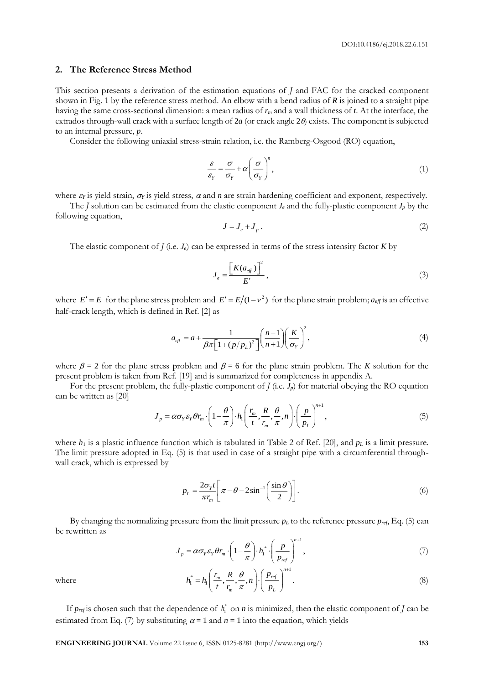#### **2. The Reference Stress Method**

This section presents a derivation of the estimation equations of *J* and FAC for the cracked component shown in Fig. 1 by the reference stress method. An elbow with a bend radius of *R* is joined to a straight pipe having the same cross-sectional dimension: a mean radius of *r<sup>m</sup>* and a wall thickness of *t*. At the interface, the extrados through-wall crack with a surface length of  $2a$  (or crack angle  $2\theta$ ) exists. The component is subjected to an internal pressure, *p*.

Consider the following uniaxial stress-strain relation, i.e. the Ramberg-Osgood (RO) equation,

$$
\frac{\varepsilon}{\varepsilon_Y} = \frac{\sigma}{\sigma_Y} + \alpha \left( \frac{\sigma}{\sigma_Y} \right)^n,\tag{1}
$$

where  $\varepsilon_Y$  is yield strain,  $\sigma_Y$  is yield stress,  $\alpha$  and  $n$  are strain hardening coefficient and exponent, respectively.

The *J* solution can be estimated from the elastic component  $J_e$  and the fully-plastic component  $J_p$  by the following equation,

$$
J = J_e + J_p \tag{2}
$$

The elastic component of  $J$  (i.e.  $J_e$ ) can be expressed in terms of the stress intensity factor  $K$  by

$$
J_e = \frac{\left[K(a_{\text{eff}})\right]^2}{E'},\tag{3}
$$

where  $E' = E$  for the plane stress problem and  $E' = E/(1 - v^2)$  for the plane strain problem;  $a_{\text{eff}}$  is an effective half-crack length, which is defined in Ref. [2] as

$$
a_{\text{eff}} = a + \frac{1}{\beta \pi \left[1 + \left(p/p_L\right)^2\right]} \left(\frac{n-1}{n+1}\right) \left(\frac{K}{\sigma_{\text{y}}}\right)^2,\tag{4}
$$

where  $\beta = 2$  for the plane stress problem and  $\beta = 6$  for the plane strain problem. The *K* solution for the present problem is taken from Ref. [19] and is summarized for completeness in appendix A.

For the present problem, the fully-plastic component of  $J$  (i.e.  $J_p$ ) for material obeying the RO equation can be written as [20]

$$
J_p = \alpha \sigma_Y \varepsilon_Y \theta r_m \cdot \left(1 - \frac{\theta}{\pi}\right) \cdot h_1\left(\frac{r_m}{t}, \frac{R}{r_m}, \frac{\theta}{\pi}, n\right) \cdot \left(\frac{p}{p_L}\right)^{n+1},\tag{5}
$$

where  $h_1$  is a plastic influence function which is tabulated in Table 2 of Ref. [20], and  $p_L$  is a limit pressure. The limit pressure adopted in Eq. (5) is that used in case of a straight pipe with a circumferential throughwall crack, which is expressed by

$$
p_L = \frac{2\sigma_y t}{\pi r_m} \left[ \pi - \theta - 2\sin^{-1}\left(\frac{\sin\theta}{2}\right) \right].
$$
 (6)

By changing the normalizing pressure from the limit pressure  $p_L$  to the reference pressure  $p_{ref}$ , Eq. (5) can be rewritten as

$$
J_p = \alpha \sigma_Y \varepsilon_Y \theta r_m \cdot \left(1 - \frac{\theta}{\pi}\right) \cdot h_1^* \cdot \left(\frac{p}{p_{ref}}\right)^{n+1},\tag{7}
$$

where

$$
h_1^* = h_1 \left( \frac{r_m}{t}, \frac{R}{r_m}, \frac{\theta}{\pi}, n \right) \cdot \left( \frac{p_{ref}}{p_L} \right)^{n+1}.
$$
 (8)

If  $p_{ref}$  is chosen such that the dependence of  $h_i^*$  on *n* is minimized, then the elastic component of *J* can be estimated from Eq. (7) by substituting  $\alpha = 1$  and  $n = 1$  into the equation, which yields

**ENGINEERING JOURNAL** Volume 22 Issue 6, ISSN 0125-8281 (http://www.engj.org/) **153**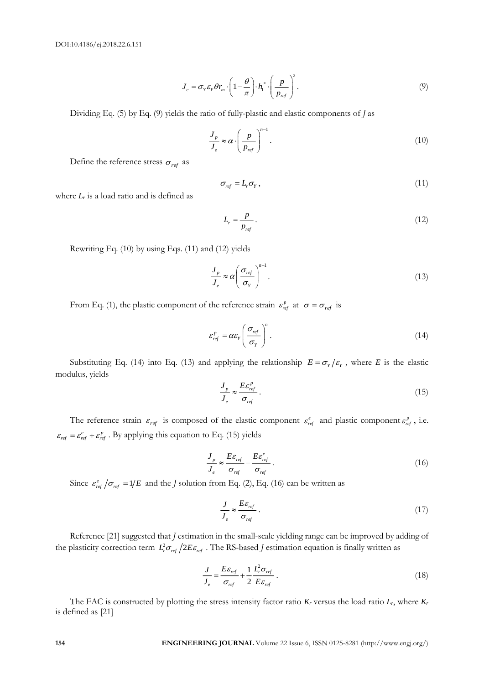$$
J_e = \sigma_Y \varepsilon_Y \theta r_m \cdot \left(1 - \frac{\theta}{\pi}\right) \cdot h_1^* \cdot \left(\frac{p}{p_{ref}}\right)^2.
$$
 (9)

Dividing Eq. (5) by Eq. (9) yields the ratio of fully-plastic and elastic components of *J* as

$$
\frac{J_p}{J_e} \approx \alpha \cdot \left(\frac{p}{p_{ref}}\right)^{n-1}.\tag{10}
$$

Define the reference stress  $\sigma_{ref}$  as

$$
\sigma_{ref} = L_r \sigma_Y, \qquad (11)
$$

where *L<sup>r</sup>* is a load ratio and is defined as

$$
L_r = \frac{p}{p_{ref}} \tag{12}
$$

Rewriting Eq. (10) by using Eqs. (11) and (12) yields

$$
\frac{J_p}{J_e} \approx \alpha \left(\frac{\sigma_{ref}}{\sigma_Y}\right)^{n-1}.\tag{13}
$$

From Eq. (1), the plastic component of the reference strain  $\varepsilon_{ref}^p$  at  $\sigma = \sigma_{ref}$  is

$$
\varepsilon_{\rm ref}^p = \alpha \varepsilon_{\rm Y} \left( \frac{\sigma_{\rm ref}}{\sigma_{\rm Y}} \right)^n. \tag{14}
$$

Substituting Eq. (14) into Eq. (13) and applying the relationship  $E = \sigma_Y / \varepsilon_Y$ , where *E* is the elastic modulus, yields

$$
\frac{J_p}{J_e} \approx \frac{E \mathcal{E}_{ref}^p}{\sigma_{ref}}.
$$
\n(15)

The reference strain  $\varepsilon_{ref}$  is composed of the elastic component  $\varepsilon_{ref}^e$  and plastic component  $\varepsilon_{ref}^p$ , i.e.  $\varepsilon_{ref} = \varepsilon_{ref}^e + \varepsilon_{ref}^p$ . By applying this equation to Eq. (15) yields

$$
\frac{J_p}{J_e} \approx \frac{E \varepsilon_{ref}}{\sigma_{ref}} - \frac{E \varepsilon_{ref}^e}{\sigma_{ref}}.
$$
\n(16)

Since  $\varepsilon_{ref}^e / \sigma_{ref} = 1/E$  and the *J* solution from Eq. (2), Eq. (16) can be written as

$$
\frac{J}{J_e} \approx \frac{E \varepsilon_{ref}}{\sigma_{ref}} \,. \tag{17}
$$

Reference [21] suggested that *J* estimation in the small-scale yielding range can be improved by adding of the plasticity correction term  $L_r^2 \sigma_{ref} / 2E \varepsilon_{ref}$  . The RS-based *J* estimation equation is finally written as

$$
\frac{J}{J_e} = \frac{E\varepsilon_{ref}}{\sigma_{ref}} + \frac{1}{2} \frac{L_r^2 \sigma_{ref}}{E\varepsilon_{ref}}.
$$
\n(18)

The FAC is constructed by plotting the stress intensity factor ratio  $K_r$  versus the load ratio  $L_r$ , where  $K_r$ is defined as [21]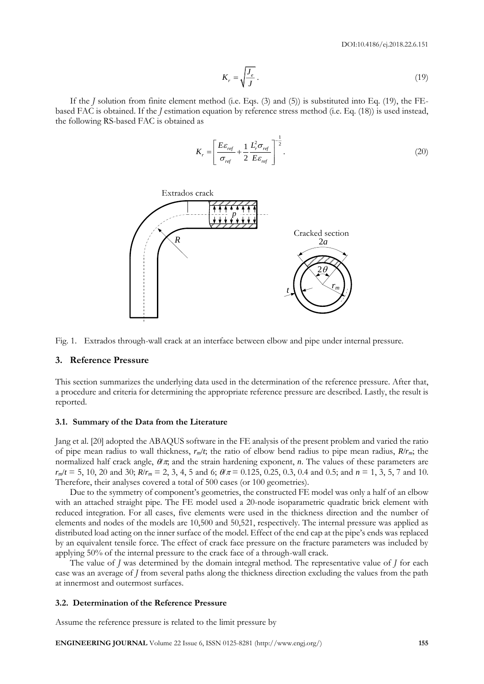$$
K_r = \sqrt{\frac{J_e}{J}}\,. \tag{19}
$$

If the *J* solution from finite element method (i.e. Eqs. (3) and (5)) is substituted into Eq. (19), the FEbased FAC is obtained. If the *J* estimation equation by reference stress method (i.e. Eq. (18)) is used instead, the following RS-based FAC is obtained as

$$
K_r = \left[\frac{E\epsilon_{ref}}{\sigma_{ref}} + \frac{1}{2}\frac{L_r^2 \sigma_{ref}}{E\epsilon_{ref}}\right]^{-\frac{1}{2}}.
$$
\n(20)





#### **3. Reference Pressure**

This section summarizes the underlying data used in the determination of the reference pressure. After that, a procedure and criteria for determining the appropriate reference pressure are described. Lastly, the result is reported.

#### **3.1. Summary of the Data from the Literature**

Jang et al. [20] adopted the ABAQUS software in the FE analysis of the present problem and varied the ratio of pipe mean radius to wall thickness, *rm*/*t*; the ratio of elbow bend radius to pipe mean radius, *R*/*rm*; the normalized half crack angle,  $\theta/\pi$ , and the strain hardening exponent, *n*. The values of these parameters are  $r_m/t = 5$ , 10, 20 and 30;  $R/r_m = 2$ , 3, 4, 5 and 6;  $\theta/\pi = 0.125$ , 0.25, 0.3, 0.4 and 0.5; and *n* = 1, 3, 5, 7 and 10. Therefore, their analyses covered a total of 500 cases (or 100 geometries).

Due to the symmetry of component's geometries, the constructed FE model was only a half of an elbow with an attached straight pipe. The FE model used a 20-node isoparametric quadratic brick element with reduced integration. For all cases, five elements were used in the thickness direction and the number of elements and nodes of the models are 10,500 and 50,521, respectively. The internal pressure was applied as distributed load acting on the inner surface of the model. Effect of the end cap at the pipe's ends was replaced by an equivalent tensile force. The effect of crack face pressure on the fracture parameters was included by applying 50% of the internal pressure to the crack face of a through-wall crack.

The value of *J* was determined by the domain integral method. The representative value of *J* for each case was an average of *J* from several paths along the thickness direction excluding the values from the path at innermost and outermost surfaces.

#### **3.2. Determination of the Reference Pressure**

Assume the reference pressure is related to the limit pressure by

**ENGINEERING JOURNAL** Volume 22 Issue 6, ISSN 0125-8281 (http://www.engj.org/) **155**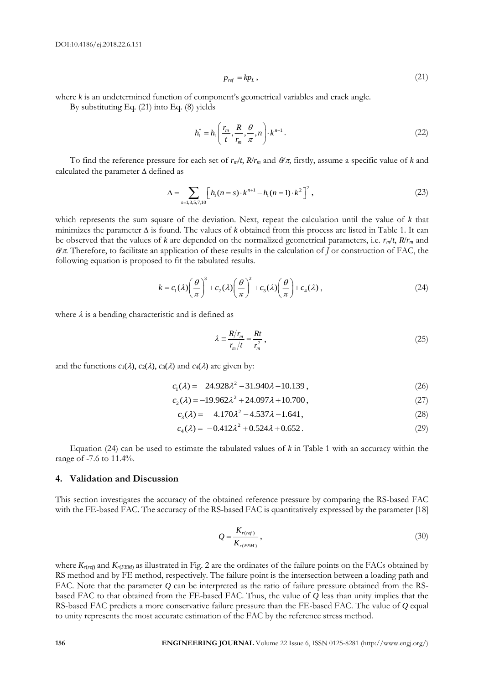$$
p_{ref} = k p_L, \tag{21}
$$

where *k* is an undetermined function of component's geometrical variables and crack angle.

By substituting Eq. (21) into Eq. (8) yields

$$
h_1^* = h_1\left(\frac{r_m}{t}, \frac{R}{r_m}, \frac{\theta}{\pi}, n\right) \cdot k^{n+1} \,. \tag{22}
$$

To find the reference pressure for each set of  $r_m/t$ ,  $R/r_m$  and  $\theta/\pi$ , firstly, assume a specific value of *k* and calculated the parameter  $\Delta$  defined as

$$
\Delta = \sum_{s=1,3,5,7,10} \left[ h_1(n=s) \cdot k^{n+1} - h_1(n=1) \cdot k^2 \right]^2, \tag{23}
$$

which represents the sum square of the deviation. Next, repeat the calculation until the value of *k* that minimizes the parameter  $\Delta$  is found. The values of *k* obtained from this process are listed in Table 1. It can be observed that the values of *k* are depended on the normalized geometrical parameters, i.e.  $r_m/t$ ,  $R/r_m$  and  $\theta/\pi$ . Therefore, to facilitate an application of these results in the calculation of *J* or construction of FAC, the following equation is proposed to fit the tabulated results.

$$
k = c_1(\lambda) \left(\frac{\theta}{\pi}\right)^3 + c_2(\lambda) \left(\frac{\theta}{\pi}\right)^2 + c_3(\lambda) \left(\frac{\theta}{\pi}\right) + c_4(\lambda), \qquad (24)
$$

where  $\lambda$  is a bending characteristic and is defined as

$$
\lambda = \frac{R/r_m}{r_m/t} = \frac{Rt}{r_m^2},\qquad(25)
$$

and the functions  $c_1(\lambda)$ ,  $c_2(\lambda)$ ,  $c_3(\lambda)$  and  $c_4(\lambda)$  are given by:

$$
c_1(\lambda) = 24.928\lambda^2 - 31.940\lambda - 10.139,
$$
\n(26)

$$
c_2(\lambda) = -19.962\lambda^2 + 24.097\lambda + 10.700,
$$
\n(27)

$$
c_3(\lambda) = 4.170\lambda^2 - 4.537\lambda - 1.641,\tag{28}
$$

$$
c_4(\lambda) = -0.412\lambda^2 + 0.524\lambda + 0.652. \tag{29}
$$

Equation (24) can be used to estimate the tabulated values of *k* in Table 1 with an accuracy within the range of -7.6 to 11.4%.

#### **4. Validation and Discussion**

This section investigates the accuracy of the obtained reference pressure by comparing the RS-based FAC with the FE-based FAC. The accuracy of the RS-based FAC is quantitatively expressed by the parameter [18]

$$
Q = \frac{K_{r(ref)}}{K_{r(FEM)}},\tag{30}
$$

**156 ENGINEERING CONSULTERING CONSULTERING CONSULTERING CONSULTERING CONSULTERING DEVELOP THE CONSULTERING DEVELOP THE CONSULTERING DEVELOP THE CONSULTERING DEVELOP THE CONSULTERING CONSULTERING CONSULTERING CONSULTERIN** where  $K_{r(ref)}$  and  $K_{r(FEM)}$  as illustrated in Fig. 2 are the ordinates of the failure points on the FACs obtained by RS method and by FE method, respectively. The failure point is the intersection between a loading path and FAC. Note that the parameter *Q* can be interpreted as the ratio of failure pressure obtained from the RSbased FAC to that obtained from the FE-based FAC. Thus, the value of *Q* less than unity implies that the RS-based FAC predicts a more conservative failure pressure than the FE-based FAC. The value of *Q* equal to unity represents the most accurate estimation of the FAC by the reference stress method.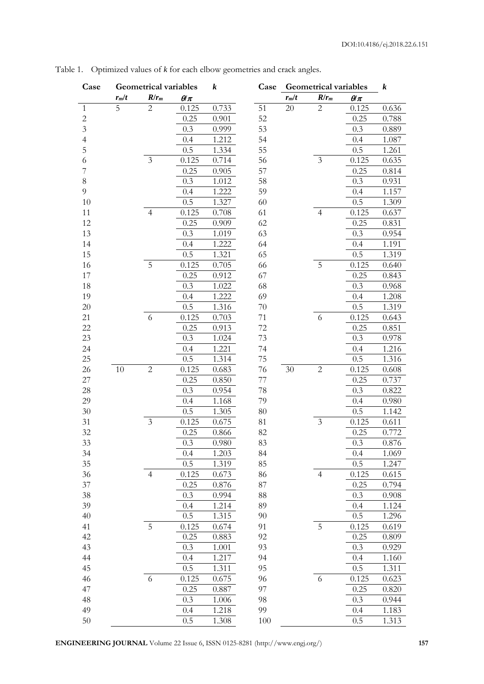| Case           | <b>Geometrical variables</b> |                |                    | $\boldsymbol{k}$ | Case   | <b>Geometrical variables</b> |                |              | k     |
|----------------|------------------------------|----------------|--------------------|------------------|--------|------------------------------|----------------|--------------|-------|
|                | $r_m/t$                      | $R/r_m$        | $\theta\!\!\!/\pi$ |                  |        | $r_m/t$                      | $R/r_m$        | $\theta/\pi$ |       |
| $\mathbf{1}$   | 5                            | $\overline{c}$ | 0.125              | 0.733            | 51     | 20                           | $\mathbf{2}$   | 0.125        | 0.636 |
| $\sqrt{2}$     |                              |                | 0.25               | 0.901            | 52     |                              |                | 0.25         | 0.788 |
| $\overline{3}$ |                              |                | 0.3                | 0.999            | 53     |                              |                | 0.3          | 0.889 |
| $\overline{4}$ |                              |                | 0.4                | 1.212            | 54     |                              |                | 0.4          | 1.087 |
| 5              |                              |                | 0.5                | 1.334            | 55     |                              |                | 0.5          | 1.261 |
| 6              |                              | 3              | 0.125              | 0.714            | 56     |                              | $\overline{3}$ | 0.125        | 0.635 |
| 7              |                              |                | 0.25               | 0.905            | 57     |                              |                | 0.25         | 0.814 |
| 8              |                              |                | 0.3                | 1.012            | 58     |                              |                | 0.3          | 0.931 |
| 9              |                              |                | 0.4                | 1.222            | 59     |                              |                | 0.4          | 1.157 |
| 10             |                              |                | 0.5                | 1.327            | 60     |                              |                | 0.5          | 1.309 |
| 11             |                              | $\overline{4}$ | 0.125              | 0.708            | 61     |                              | $\overline{4}$ | 0.125        | 0.637 |
| 12             |                              |                | 0.25               | 0.909            | 62     |                              |                | 0.25         | 0.831 |
| 13             |                              |                | 0.3                | 1.019            | 63     |                              |                | 0.3          | 0.954 |
| 14             |                              |                | 0.4                | 1.222            | 64     |                              |                | 0.4          | 1.191 |
| 15             |                              |                | 0.5                | 1.321            | 65     |                              |                | 0.5          | 1.319 |
| 16             |                              | 5              | 0.125              | 0.705            | 66     |                              | 5              | 0.125        | 0.640 |
| 17             |                              |                | 0.25               | 0.912            | 67     |                              |                | 0.25         | 0.843 |
| 18             |                              |                | 0.3                | 1.022            | 68     |                              |                | 0.3          | 0.968 |
| 19             |                              |                | 0.4                | 1.222            | 69     |                              |                | 0.4          | 1.208 |
| 20             |                              |                | 0.5                | 1.316            | 70     |                              |                | 0.5          | 1.319 |
| 21             |                              | 6              | 0.125              | 0.703            | 71     |                              | 6              | 0.125        | 0.643 |
| 22             |                              |                | 0.25               | 0.913            | 72     |                              |                | 0.25         | 0.851 |
| 23             |                              |                | 0.3                | 1.024            | 73     |                              |                | 0.3          | 0.978 |
| 24             |                              |                | 0.4                | 1.221            | 74     |                              |                | 0.4          | 1.216 |
| 25             |                              |                | 0.5                | 1.314            | 75     |                              |                | 0.5          | 1.316 |
| 26             | 10                           | $\overline{2}$ | 0.125              | 0.683            | 76     | $30\,$                       | $\overline{2}$ | 0.125        | 0.608 |
| 27             |                              |                | 0.25               | 0.850            | 77     |                              |                | 0.25         | 0.737 |
| 28             |                              |                | 0.3                | 0.954            | 78     |                              |                | 0.3          | 0.822 |
| 29             |                              |                | 0.4                | 1.168            | 79     |                              |                | 0.4          | 0.980 |
| 30             |                              |                | 0.5                | 1.305            | $80\,$ |                              |                | 0.5          | 1.142 |
| 31             |                              | 3              | 0.125              | 0.675            | 81     |                              | $\mathfrak{Z}$ | 0.125        | 0.611 |
| 32             |                              |                | 0.25               | 0.866            | 82     |                              |                | 0.25         | 0.772 |
| 33             |                              |                | $0.3\,$            | $0.980\,$        | $83\,$ |                              |                | $0.3\,$      | 0.876 |
| 34             |                              |                | 0.4                | 1.203            | 84     |                              |                | 0.4          | 1.069 |
| 35             |                              |                | 0.5                | 1.319            | 85     |                              |                | 0.5          | 1.247 |
| 36             |                              | $\overline{4}$ | 0.125              | 0.673            | 86     |                              | $\overline{4}$ | 0.125        | 0.615 |
| $37\,$         |                              |                | 0.25               | 0.876            | 87     |                              |                | 0.25         | 0.794 |
| 38             |                              |                | 0.3                | 0.994            | 88     |                              |                | 0.3          | 0.908 |
| 39             |                              |                | 0.4                | 1.214            | 89     |                              |                | 0.4          | 1.124 |
| 40             |                              |                | 0.5                | 1.315            | 90     |                              |                | 0.5          | 1.296 |
| 41             |                              | 5              | 0.125              | 0.674            | 91     |                              | 5              | 0.125        | 0.619 |
| 42             |                              |                | 0.25               | 0.883            | 92     |                              |                | 0.25         | 0.809 |
| 43             |                              |                | 0.3                | 1.001            | 93     |                              |                | 0.3          | 0.929 |
| 44             |                              |                | 0.4                | 1.217            | 94     |                              |                | 0.4          | 1.160 |
| 45             |                              |                | 0.5                | 1.311            | 95     |                              |                | 0.5          | 1.311 |
| 46             |                              | 6              | 0.125              | 0.675            | 96     |                              | 6              | 0.125        | 0.623 |
| 47             |                              |                | 0.25               | 0.887            | 97     |                              |                | 0.25         | 0.820 |
| 48             |                              |                | 0.3                | 1.006            | 98     |                              |                | 0.3          | 0.944 |
| 49             |                              |                | 0.4                | 1.218            | 99     |                              |                | 0.4          | 1.183 |
| 50             |                              |                | 0.5                | 1.308            | 100    |                              |                | 0.5          | 1.313 |

Table 1. Optimized values of *k* for each elbow geometries and crack angles.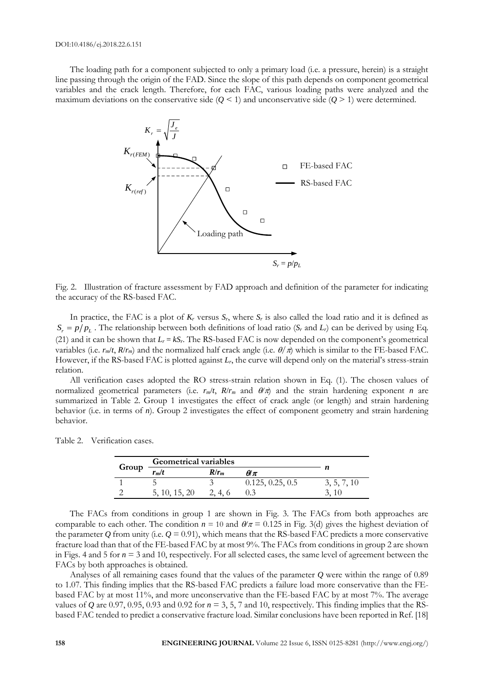The loading path for a component subjected to only a primary load (i.e. a pressure, herein) is a straight line passing through the origin of the FAD. Since the slope of this path depends on component geometrical variables and the crack length. Therefore, for each FAC, various loading paths were analyzed and the maximum deviations on the conservative side  $(Q \le 1)$  and unconservative side  $(Q \ge 1)$  were determined.



Fig. 2. Illustration of fracture assessment by FAD approach and definition of the parameter for indicating the accuracy of the RS-based FAC.

In practice, the FAC is a plot of  $K_r$  versus  $S_r$ , where  $S_r$  is also called the load ratio and it is defined as  $S_r = p/p_L$ . The relationship between both definitions of load ratio (*S<sub>r</sub>* and *L<sub>r</sub>*) can be derived by using Eq. (21) and it can be shown that  $L_r = kS_r$ . The RS-based FAC is now depended on the component's geometrical variables (i.e.  $r_m/t$ ,  $R/r_m$ ) and the normalized half crack angle (i.e.  $\theta/\pi$ ) which is similar to the FE-based FAC. However, if the RS-based FAC is plotted against *Lr*, the curve will depend only on the material's stress-strain relation.

All verification cases adopted the RO stress-strain relation shown in Eq. (1). The chosen values of normalized geometrical parameters (i.e.  $r_m/t$ ,  $R/r_m$  and  $\theta/\pi$ ) and the strain hardening exponent *n* are summarized in Table 2. Group 1 investigates the effect of crack angle (or length) and strain hardening behavior (i.e. in terms of *n*). Group 2 investigates the effect of component geometry and strain hardening behavior.

Table 2. Verification cases.

|       | <b>Geometrical variables</b> |         |                  |             |  |
|-------|------------------------------|---------|------------------|-------------|--|
| Group | rmlt                         | $R/r_m$ | $\theta\pi$      |             |  |
|       |                              |         | 0.125, 0.25, 0.5 | 3, 5, 7, 10 |  |
|       | 5, 10, 15, 20                | 2, 4, 6 |                  |             |  |

The FACs from conditions in group 1 are shown in Fig. 3. The FACs from both approaches are comparable to each other. The condition  $n = 10$  and  $\theta/\pi = 0.125$  in Fig. 3(d) gives the highest deviation of the parameter  $Q$  from unity (i.e.  $Q = 0.91$ ), which means that the RS-based FAC predicts a more conservative fracture load than that of the FE-based FAC by at most 9%. The FACs from conditions in group 2 are shown in Figs. 4 and 5 for *n* = 3 and 10, respectively. For all selected cases, the same level of agreement between the FACs by both approaches is obtained.

Analyses of all remaining cases found that the values of the parameter *Q* were within the range of 0.89 to 1.07. This finding implies that the RS-based FAC predicts a failure load more conservative than the FEbased FAC by at most 11%, and more unconservative than the FE-based FAC by at most 7%. The average values of *Q* are 0.97, 0.95, 0.93 and 0.92 for  $n = 3, 5, 7$  and 10, respectively. This finding implies that the RSbased FAC tended to predict a conservative fracture load. Similar conclusions have been reported in Ref. [18]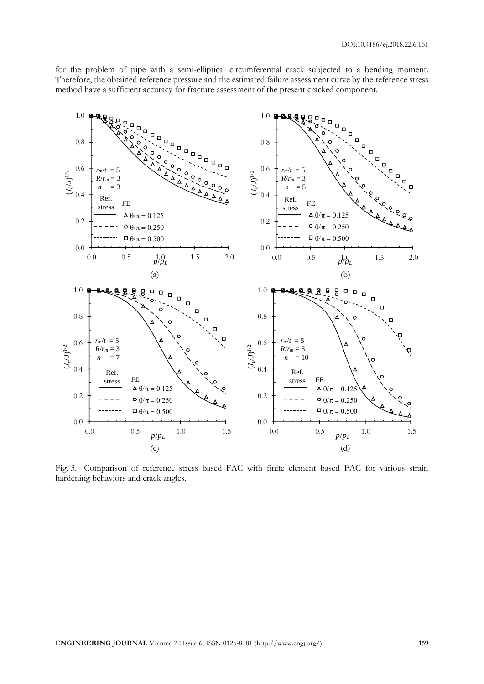for the problem of pipe with a semi-elliptical circumferential crack subjected to a bending moment. Therefore, the obtained reference pressure and the estimated failure assessment curve by the reference stress method have a sufficient accuracy for fracture assessment of the present cracked component.



Fig. 3. Comparison of reference stress based FAC with finite element based FAC for various strain hardening behaviors and crack angles.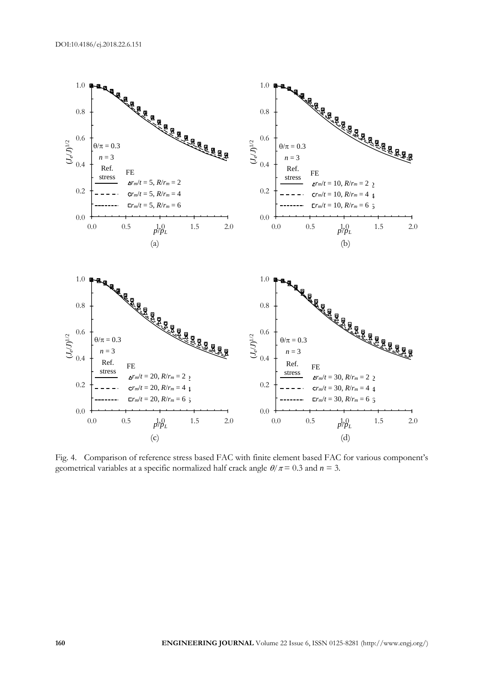

Fig. 4. Comparison of reference stress based FAC with finite element based FAC for various component's geometrical variables at a specific normalized half crack angle  $\theta/\pi = 0.3$  and  $n = 3$ .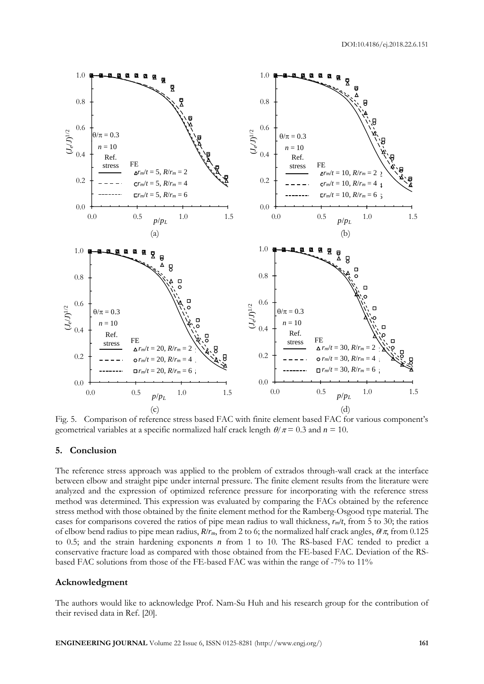

Fig. 5. Comparison of reference stress based FAC with finite element based FAC for various component's geometrical variables at a specific normalized half crack length  $\theta / \pi = 0.3$  and  $n = 10$ .

#### **5. Conclusion**

The reference stress approach was applied to the problem of extrados through-wall crack at the interface between elbow and straight pipe under internal pressure. The finite element results from the literature were analyzed and the expression of optimized reference pressure for incorporating with the reference stress method was determined. This expression was evaluated by comparing the FACs obtained by the reference stress method with those obtained by the finite element method for the Ramberg-Osgood type material. The cases for comparisons covered the ratios of pipe mean radius to wall thickness, *rm*/*t*, from 5 to 30; the ratios of elbow bend radius to pipe mean radius,  $R/r_m$ , from 2 to 6; the normalized half crack angles,  $\theta/\pi$ , from 0.125 to 0.5; and the strain hardening exponents *n* from 1 to 10. The RS-based FAC tended to predict a conservative fracture load as compared with those obtained from the FE-based FAC. Deviation of the RSbased FAC solutions from those of the FE-based FAC was within the range of -7% to 11%

#### **Acknowledgment**

The authors would like to acknowledge Prof. Nam-Su Huh and his research group for the contribution of their revised data in Ref. [20].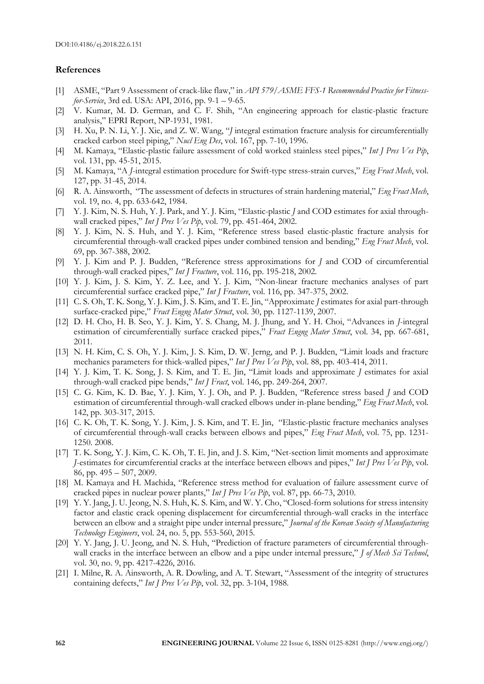#### **References**

- [1] ASME, "Part 9 Assessment of crack-like flaw," in *API 579/ASME FFS-1 Recommended Practice for Fitnessfor-Service*, 3rd ed. USA: API, 2016, pp. 9-1 – 9-65.
- [2] V. Kumar, M. D. German, and C. F. Shih, "An engineering approach for elastic-plastic fracture analysis," EPRI Report, NP-1931, 1981.
- [3] H. Xu, P. N. Li, Y. J. Xie, and Z. W. Wang, "*J* integral estimation fracture analysis for circumferentially cracked carbon steel piping," *Nucl Eng Des*, vol. 167, pp. 7-10, 1996.
- [4] M. Kamaya, "Elastic-plastic failure assessment of cold worked stainless steel pipes," *Int J Pres Ves Pip*, vol. 131, pp. 45-51, 2015.
- [5] M. Kamaya, "A *J*-integral estimation procedure for Swift-type stress-strain curves," *Eng Fract Mech*, vol. 127, pp. 31-45, 2014.
- [6] R. A. Ainsworth, "The assessment of defects in structures of strain hardening material," *Eng Fract Mech*, vol. 19, no. 4, pp. 633-642, 1984.
- [7] Y. J. Kim, N. S. Huh, Y. J. Park, and Y. J. Kim, "Elastic-plastic *J* and COD estimates for axial throughwall cracked pipes," *Int J Pres Ves Pip*, vol. 79, pp. 451-464, 2002.
- [8] Y. J. Kim, N. S. Huh, and Y. J. Kim, "Reference stress based elastic-plastic fracture analysis for circumferential through-wall cracked pipes under combined tension and bending," *Eng Fract Mech*, vol. 69, pp. 367-388, 2002.
- [9] Y. J. Kim and P. J. Budden, "Reference stress approximations for *J* and COD of circumferential through-wall cracked pipes," *Int J Fracture*, vol. 116, pp. 195-218, 2002.
- [10] Y. J. Kim, J. S. Kim, Y. Z. Lee, and Y. J. Kim, "Non-linear fracture mechanics analyses of part circumferential surface cracked pipe," *Int J Fracture*, vol. 116, pp. 347-375, 2002.
- [11] C. S. Oh, T. K. Song, Y. J. Kim, J. S. Kim, and T. E. Jin, "Approximate *J* estimates for axial part-through surface-cracked pipe," *Fract Engng Mater Struct*, vol. 30, pp. 1127-1139, 2007.
- [12] D. H. Cho, H. B. Seo, Y. J. Kim, Y. S. Chang, M. J. Jhung, and Y. H. Choi, "Advances in *J*-integral estimation of circumferentially surface cracked pipes," *Fract Engng Mater Struct*, vol. 34, pp. 667-681, 2011.
- [13] N. H. Kim, C. S. Oh, Y. J. Kim, J. S. Kim, D. W. Jerng, and P. J. Budden, "Limit loads and fracture mechanics parameters for thick-walled pipes," *Int J Pres Ves Pip*, vol. 88, pp. 403-414, 2011.
- [14] Y. J. Kim, T. K. Song, J. S. Kim, and T. E. Jin, "Limit loads and approximate *J* estimates for axial through-wall cracked pipe bends," *Int J Fract*, vol. 146, pp. 249-264, 2007.
- [15] C. G. Kim, K. D. Bae, Y. J. Kim, Y. J. Oh, and P. J. Budden, "Reference stress based *J* and COD estimation of circumferential through-wall cracked elbows under in-plane bending," *Eng Fract Mech*, vol. 142, pp. 303-317, 2015.
- [16] C. K. Oh, T. K. Song, Y. J. Kim, J. S. Kim, and T. E. Jin, "Elastic-plastic fracture mechanics analyses of circumferential through-wall cracks between elbows and pipes," *Eng Fract Mech*, vol. 75, pp. 1231- 1250. 2008.
- [17] T. K. Song, Y. J. Kim, C. K. Oh, T. E. Jin, and J. S. Kim, "Net-section limit moments and approximate *J*-estimates for circumferential cracks at the interface between elbows and pipes," *Int J Pres Ves Pip*, vol. 86, pp. 495 – 507, 2009.
- [18] M. Kamaya and H. Machida, "Reference stress method for evaluation of failure assessment curve of cracked pipes in nuclear power plants," *Int J Pres Ves Pip*, vol. 87, pp. 66-73, 2010.
- [19] Y. Y. Jang, J. U. Jeong, N. S. Huh, K. S. Kim, and W. Y. Cho, "Closed-form solutions for stress intensity factor and elastic crack opening displacement for circumferential through-wall cracks in the interface between an elbow and a straight pipe under internal pressure," *Journal of the Korean Society of Manufacturing Technology Engineers*, vol. 24, no. 5, pp. 553-560, 2015.
- [20] Y. Y. Jang, J. U. Jeong, and N. S. Huh, "Prediction of fracture parameters of circumferential throughwall cracks in the interface between an elbow and a pipe under internal pressure," *J of Mech Sci Technol*, vol. 30, no. 9, pp. 4217-4226, 2016.
- [21] I. Milne, R. A. Ainsworth, A. R. Dowling, and A. T. Stewart, "Assessment of the integrity of structures containing defects," *Int J Pres Ves Pip*, vol. 32, pp. 3-104, 1988.